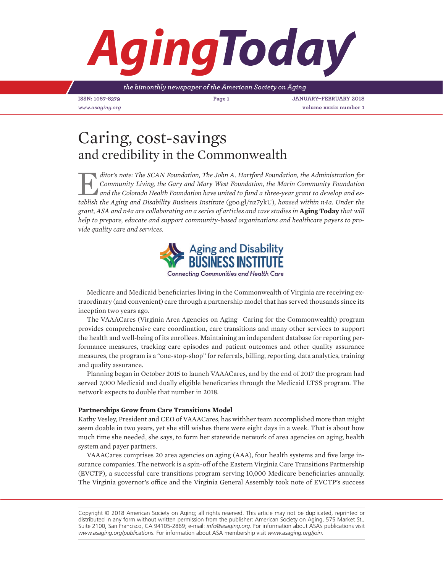# *Aging*

*the bimonthly newspaper of the American Society on Aging*

**ISSN: 1067-8379 Page 1 JANUARY–FEBRUARY 2018** *www.asaging.org* **volume xxxix number 1**

## Caring, cost-savings and credibility in the Commonwealth

E*ditor's note: The SCAN Foundation, The John A. Hartford Foundation, the Administration for Community Living, the Gary and Mary West Foundation, the Marin Community Foundation and the Colorado Health Foundation have united to fund a three-year grant to develop and establish the Aging and Disability Business Institute* (goo.gl/nz7ykU)*, housed within n4a. Under the grant, ASA and n4a are collaborating on a series of articles and case studies in* **Aging Today** *that will help to prepare, educate and support community-based organizations and healthcare payers to provide quality care and services.*



**Connecting Communities and Health Care** 

Medicare and Medicaid beneficiaries living in the Commonwealth of Virginia are receiving extraordinary (and convenient) care through a partnership model that has served thousands since its inception two years ago.

The VAAACares (Virginia Area Agencies on Aging—Caring for the Commonwealth) program provides comprehensive care coordination, care transitions and many other services to support the health and well-being of its enrollees. Maintaining an independent database for reporting performance measures, tracking care episodes and patient outcomes and other quality assurance measures, the program is a "one-stop-shop" for referrals, billing, reporting, data analytics, training and quality assurance.

Planning began in October 2015 to launch VAAACares, and by the end of 2017 the program had served 7,000 Medicaid and dually eligible beneficaries through the Medicaid LTSS program. The network expects to double that number in 2018.

### **Partnerships Grow from Care Transitions Model**

Kathy Vesley, President and CEO of VAAACares, has withher team accomplished more than might seem doable in two years, yet she still wishes there were eight days in a week. That is about how much time she needed, she says, to form her statewide network of area agencies on aging, health system and payer partners.

VAAACares comprises 20 area agencies on aging (AAA), four health systems and five large insurance companies. The network is a spin-off of the Eastern Virginia Care Transitions Partnership (EVCTP), a successful care transitions program serving 10,000 Medicare beneficiaries annually. The Virginia governor's office and the Virginia General Assembly took note of EVCTP's success

Copyright © 2018 American Society on Aging; all rights reserved. This article may not be duplicated, reprinted or distributed in any form without written permission from the publisher: American Society on Aging, 575 Market St., Suite 2100, San Francisco, CA 94105-2869; e-mail: *info@asaging.org*. For information about ASA's publications visit *www.asaging.org/publications*. For information about ASA membership visit *www.asaging.org/join*.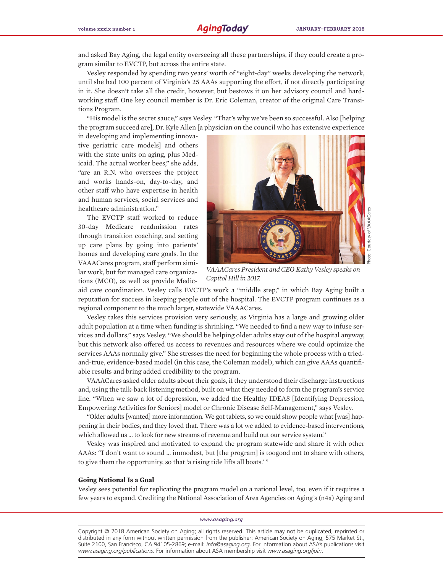and asked Bay Aging, the legal entity overseeing all these partnerships, if they could create a program similar to EVCTP, but across the entire state.

Vesley responded by spending two years' worth of "eight-day" weeks developing the network, until she had 100 percent of Virginia's 25 AAAs supporting the effort, if not directly participating in it. She doesn't take all the credit, however, but bestows it on her advisory council and hardworking staff. One key council member is Dr. Eric Coleman, creator of the original Care Transitions Program.

"His model is the secret sauce," says Vesley. "That's why we've been so successful. Also [helping the program succeed are], Dr. Kyle Allen [a physician on the council who has extensive experience

in developing and implementing innovative geriatric care models] and others with the state units on aging, plus Medicaid. The actual worker bees," she adds, "are an R.N. who oversees the project and works hands-on, day-to-day, and other staff who have expertise in health and human services, social services and healthcare administration."

The EVCTP staff worked to reduce 30-day Medicare readmission rates through transition coaching, and setting up care plans by going into patients' homes and developing care goals. In the VAAACares program, staff perform similar work, but for managed care organizations (MCO), as well as provide Medic-



*VAAACares President and CEO Kathy Vesley speaks on Capitol Hill in 2017.*

aid care coordination. Vesley calls EVCTP's work a "middle step," in which Bay Aging built a reputation for success in keeping people out of the hospital. The EVCTP program continues as a regional component to the much larger, statewide VAAACares.

Vesley takes this services provision very seriously, as Virginia has a large and growing older adult population at a time when funding is shrinking. "We needed to find a new way to infuse services and dollars," says Vesley. "We should be helping older adults stay out of the hospital anyway, but this network also offered us access to revenues and resources where we could optimize the services AAAs normally give." She stresses the need for beginning the whole process with a triedand-true, evidence-based model (in this case, the Coleman model), which can give AAAs quantifiable results and bring added credibility to the program.

VAAACares asked older adults about their goals, if they understood their discharge instructions and, using the talk-back listening method, built on what they needed to form the program's service line. "When we saw a lot of depression, we added the Healthy IDEAS [Identifying Depression, Empowering Activities for Seniors] model or Chronic Disease Self-Management," says Vesley.

"Older adults [wanted] more information. We got tablets, so we could show people what [was] happening in their bodies, and they loved that. There was a lot we added to evidence-based interventions, which allowed us … to look for new streams of revenue and build out our service system."

Vesley was inspired and motivated to expand the program statewide and share it with other AAAs: "I don't want to sound … immodest, but [the program] is toogood not to share with others, to give them the opportunity, so that 'a rising tide lifts all boats.' "

#### **Going National Is a Goal**

Vesley sees potential for replicating the program model on a national level, too, even if it requires a few years to expand. Crediting the National Association of Area Agencies on Aging's (n4a) Aging and

#### *www.asaging.org*

Copyright © 2018 American Society on Aging; all rights reserved. This article may not be duplicated, reprinted or distributed in any form without written permission from the publisher: American Society on Aging, 575 Market St., Suite 2100, San Francisco, CA 94105-2869; e-mail: *info@asaging.org*. For information about ASA's publications visit *www.asaging.org/publications*. For information about ASA membership visit *www.asaging.org/join*.